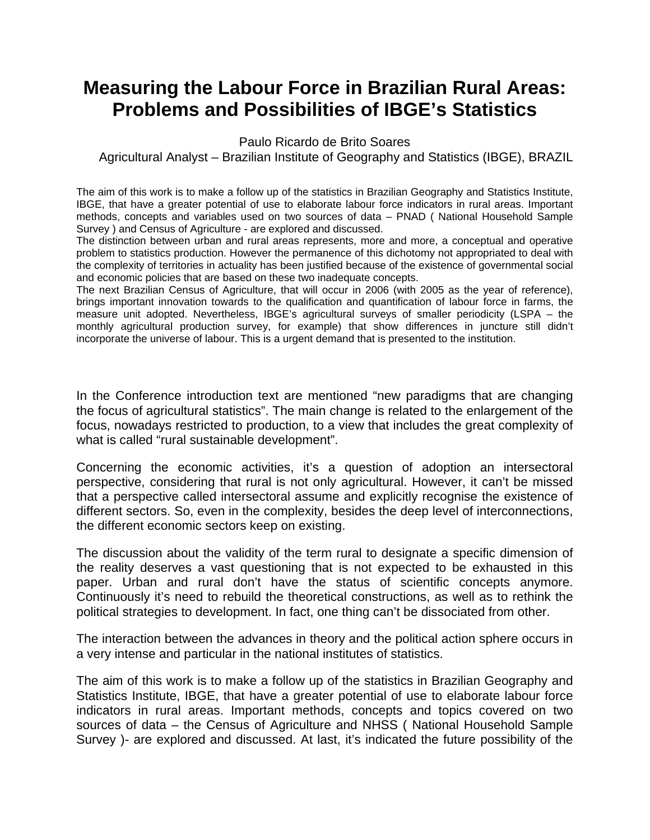## **Measuring the Labour Force in Brazilian Rural Areas: Problems and Possibilities of IBGE's Statistics**

Paulo Ricardo de Brito Soares

Agricultural Analyst – Brazilian Institute of Geography and Statistics (IBGE), BRAZIL

The aim of this work is to make a follow up of the statistics in Brazilian Geography and Statistics Institute, IBGE, that have a greater potential of use to elaborate labour force indicators in rural areas. Important methods, concepts and variables used on two sources of data – PNAD ( National Household Sample Survey ) and Census of Agriculture - are explored and discussed.

The distinction between urban and rural areas represents, more and more, a conceptual and operative problem to statistics production. However the permanence of this dichotomy not appropriated to deal with the complexity of territories in actuality has been justified because of the existence of governmental social and economic policies that are based on these two inadequate concepts.

The next Brazilian Census of Agriculture, that will occur in 2006 (with 2005 as the year of reference), brings important innovation towards to the qualification and quantification of labour force in farms, the measure unit adopted. Nevertheless, IBGE's agricultural surveys of smaller periodicity (LSPA – the monthly agricultural production survey, for example) that show differences in juncture still didn't incorporate the universe of labour. This is a urgent demand that is presented to the institution.

In the Conference introduction text are mentioned "new paradigms that are changing the focus of agricultural statistics". The main change is related to the enlargement of the focus, nowadays restricted to production, to a view that includes the great complexity of what is called "rural sustainable development".

Concerning the economic activities, it's a question of adoption an intersectoral perspective, considering that rural is not only agricultural. However, it can't be missed that a perspective called intersectoral assume and explicitly recognise the existence of different sectors. So, even in the complexity, besides the deep level of interconnections, the different economic sectors keep on existing.

The discussion about the validity of the term rural to designate a specific dimension of the reality deserves a vast questioning that is not expected to be exhausted in this paper. Urban and rural don't have the status of scientific concepts anymore. Continuously it's need to rebuild the theoretical constructions, as well as to rethink the political strategies to development. In fact, one thing can't be dissociated from other.

The interaction between the advances in theory and the political action sphere occurs in a very intense and particular in the national institutes of statistics.

The aim of this work is to make a follow up of the statistics in Brazilian Geography and Statistics Institute, IBGE, that have a greater potential of use to elaborate labour force indicators in rural areas. Important methods, concepts and topics covered on two sources of data – the Census of Agriculture and NHSS ( National Household Sample Survey )- are explored and discussed. At last, it's indicated the future possibility of the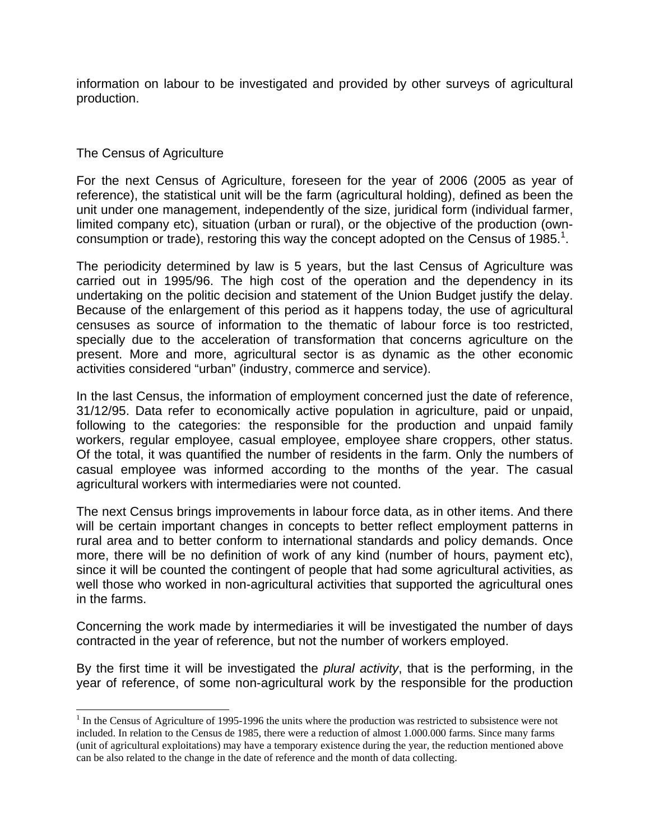information on labour to be investigated and provided by other surveys of agricultural production.

## The Census of Agriculture

 $\overline{a}$ 

For the next Census of Agriculture, foreseen for the year of 2006 (2005 as year of reference), the statistical unit will be the farm (agricultural holding), defined as been the unit under one management, independently of the size, juridical form (individual farmer, limited company etc), situation (urban or rural), or the objective of the production (ownconsumption or trade), restoring this way the concept adopted on the Census of 1985.<sup>1</sup>.

The periodicity determined by law is 5 years, but the last Census of Agriculture was carried out in 1995/96. The high cost of the operation and the dependency in its undertaking on the politic decision and statement of the Union Budget justify the delay. Because of the enlargement of this period as it happens today, the use of agricultural censuses as source of information to the thematic of labour force is too restricted, specially due to the acceleration of transformation that concerns agriculture on the present. More and more, agricultural sector is as dynamic as the other economic activities considered "urban" (industry, commerce and service).

In the last Census, the information of employment concerned just the date of reference, 31/12/95. Data refer to economically active population in agriculture, paid or unpaid, following to the categories: the responsible for the production and unpaid family workers, regular employee, casual employee, employee share croppers, other status. Of the total, it was quantified the number of residents in the farm. Only the numbers of casual employee was informed according to the months of the year. The casual agricultural workers with intermediaries were not counted.

The next Census brings improvements in labour force data, as in other items. And there will be certain important changes in concepts to better reflect employment patterns in rural area and to better conform to international standards and policy demands. Once more, there will be no definition of work of any kind (number of hours, payment etc), since it will be counted the contingent of people that had some agricultural activities, as well those who worked in non-agricultural activities that supported the agricultural ones in the farms.

Concerning the work made by intermediaries it will be investigated the number of days contracted in the year of reference, but not the number of workers employed.

By the first time it will be investigated the *plural activity*, that is the performing, in the year of reference, of some non-agricultural work by the responsible for the production

 $<sup>1</sup>$  In the Census of Agriculture of 1995-1996 the units where the production was restricted to subsistence were not</sup> included. In relation to the Census de 1985, there were a reduction of almost 1.000.000 farms. Since many farms (unit of agricultural exploitations) may have a temporary existence during the year, the reduction mentioned above can be also related to the change in the date of reference and the month of data collecting.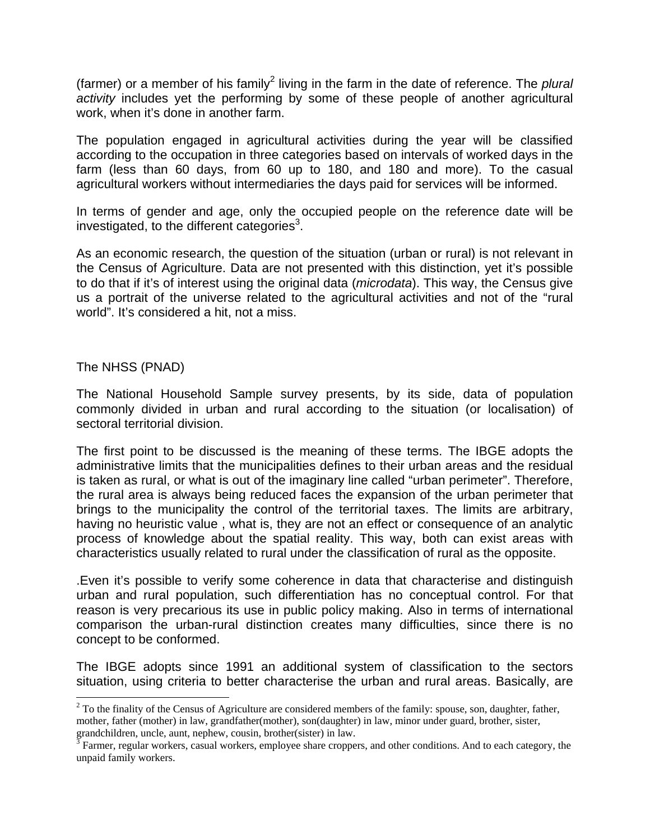(farmer) or a member of his family<sup>2</sup> living in the farm in the date of reference. The *plural activity* includes yet the performing by some of these people of another agricultural work, when it's done in another farm.

The population engaged in agricultural activities during the year will be classified according to the occupation in three categories based on intervals of worked days in the farm (less than 60 days, from 60 up to 180, and 180 and more). To the casual agricultural workers without intermediaries the days paid for services will be informed.

In terms of gender and age, only the occupied people on the reference date will be investigated, to the different categories $3$ .

As an economic research, the question of the situation (urban or rural) is not relevant in the Census of Agriculture. Data are not presented with this distinction, yet it's possible to do that if it's of interest using the original data (*microdata*). This way, the Census give us a portrait of the universe related to the agricultural activities and not of the "rural world". It's considered a hit, not a miss.

## The NHSS (PNAD)

 $\overline{a}$ 

The National Household Sample survey presents, by its side, data of population commonly divided in urban and rural according to the situation (or localisation) of sectoral territorial division.

The first point to be discussed is the meaning of these terms. The IBGE adopts the administrative limits that the municipalities defines to their urban areas and the residual is taken as rural, or what is out of the imaginary line called "urban perimeter". Therefore, the rural area is always being reduced faces the expansion of the urban perimeter that brings to the municipality the control of the territorial taxes. The limits are arbitrary, having no heuristic value , what is, they are not an effect or consequence of an analytic process of knowledge about the spatial reality. This way, both can exist areas with characteristics usually related to rural under the classification of rural as the opposite.

.Even it's possible to verify some coherence in data that characterise and distinguish urban and rural population, such differentiation has no conceptual control. For that reason is very precarious its use in public policy making. Also in terms of international comparison the urban-rural distinction creates many difficulties, since there is no concept to be conformed.

The IBGE adopts since 1991 an additional system of classification to the sectors situation, using criteria to better characterise the urban and rural areas. Basically, are

 $2^2$  To the finality of the Census of Agriculture are considered members of the family: spouse, son, daughter, father, mother, father (mother) in law, grandfather(mother), son(daughter) in law, minor under guard, brother, sister, grandchildren, uncle, aunt, nephew, cousin, brother(sister) in law.<br><sup>3</sup> Farmer, regular workers, casual workers, employee share croppers, and other conditions. And to each category, the

unpaid family workers.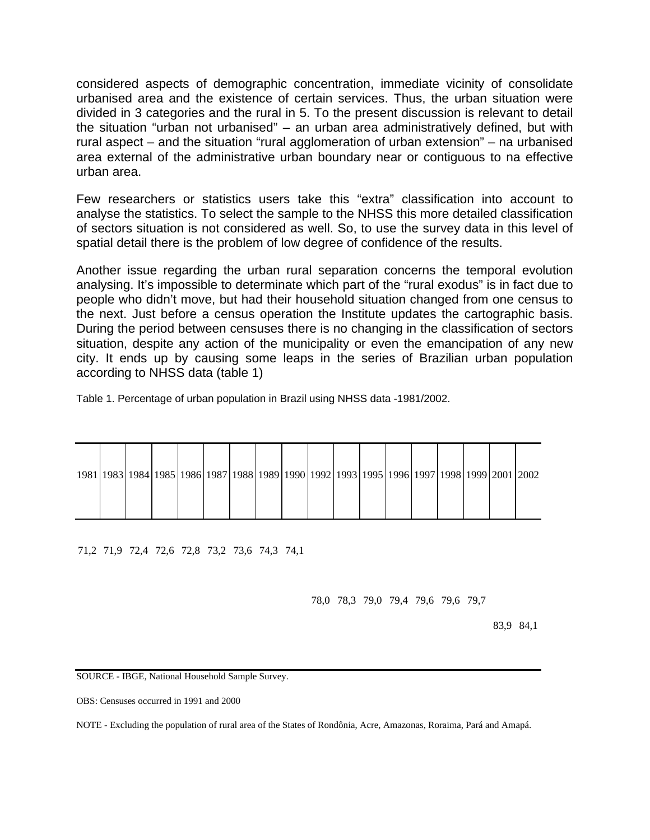considered aspects of demographic concentration, immediate vicinity of consolidate urbanised area and the existence of certain services. Thus, the urban situation were divided in 3 categories and the rural in 5. To the present discussion is relevant to detail the situation "urban not urbanised" – an urban area administratively defined, but with rural aspect – and the situation "rural agglomeration of urban extension" – na urbanised area external of the administrative urban boundary near or contiguous to na effective urban area.

Few researchers or statistics users take this "extra" classification into account to analyse the statistics. To select the sample to the NHSS this more detailed classification of sectors situation is not considered as well. So, to use the survey data in this level of spatial detail there is the problem of low degree of confidence of the results.

Another issue regarding the urban rural separation concerns the temporal evolution analysing. It's impossible to determinate which part of the "rural exodus" is in fact due to people who didn't move, but had their household situation changed from one census to the next. Just before a census operation the Institute updates the cartographic basis. During the period between censuses there is no changing in the classification of sectors situation, despite any action of the municipality or even the emancipation of any new city. It ends up by causing some leaps in the series of Brazilian urban population according to NHSS data (table 1)

Table 1. Percentage of urban population in Brazil using NHSS data -1981/2002.

|  |  |  |  | 1981   1983   1984   1985   1986   1987   1988   1989   1990   1992   1993   1995   1996   1997   1998   1999   2001   2002 |  |  |  |  |
|--|--|--|--|-----------------------------------------------------------------------------------------------------------------------------|--|--|--|--|
|  |  |  |  |                                                                                                                             |  |  |  |  |

71,2 71,9 72,4 72,6 72,8 73,2 73,6 74,3 74,1

78,0 78,3 79,0 79,4 79,6 79,6 79,7

83,9 84,1

SOURCE - IBGE, National Household Sample Survey.

OBS: Censuses occurred in 1991 and 2000

NOTE - Excluding the population of rural area of the States of Rondônia, Acre, Amazonas, Roraima, Pará and Amapá.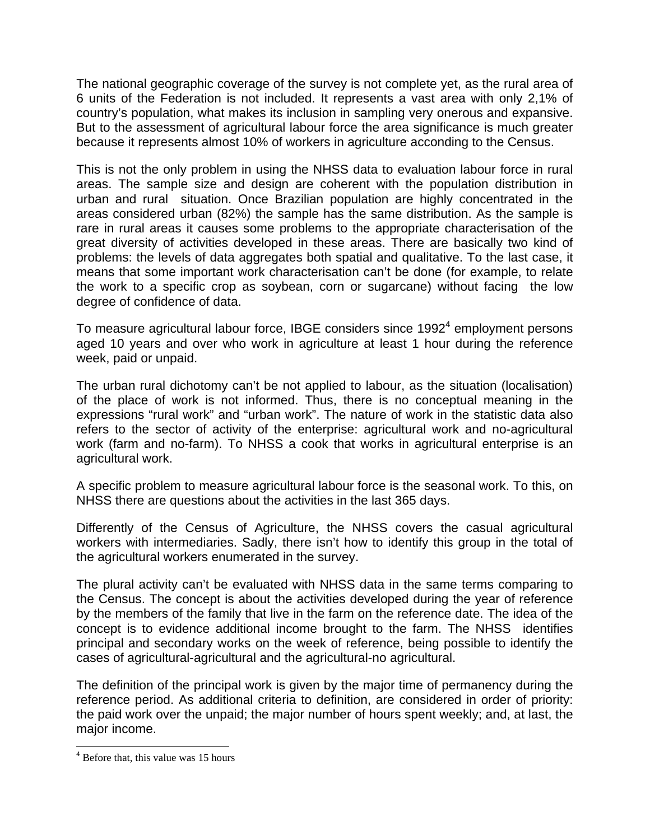The national geographic coverage of the survey is not complete yet, as the rural area of 6 units of the Federation is not included. It represents a vast area with only 2,1% of country's population, what makes its inclusion in sampling very onerous and expansive. But to the assessment of agricultural labour force the area significance is much greater because it represents almost 10% of workers in agriculture acconding to the Census.

This is not the only problem in using the NHSS data to evaluation labour force in rural areas. The sample size and design are coherent with the population distribution in urban and rural situation. Once Brazilian population are highly concentrated in the areas considered urban (82%) the sample has the same distribution. As the sample is rare in rural areas it causes some problems to the appropriate characterisation of the great diversity of activities developed in these areas. There are basically two kind of problems: the levels of data aggregates both spatial and qualitative. To the last case, it means that some important work characterisation can't be done (for example, to relate the work to a specific crop as soybean, corn or sugarcane) without facing the low degree of confidence of data.

To measure agricultural labour force, IBGE considers since 1992 $4$  employment persons aged 10 years and over who work in agriculture at least 1 hour during the reference week, paid or unpaid.

The urban rural dichotomy can't be not applied to labour, as the situation (localisation) of the place of work is not informed. Thus, there is no conceptual meaning in the expressions "rural work" and "urban work". The nature of work in the statistic data also refers to the sector of activity of the enterprise: agricultural work and no-agricultural work (farm and no-farm). To NHSS a cook that works in agricultural enterprise is an agricultural work.

A specific problem to measure agricultural labour force is the seasonal work. To this, on NHSS there are questions about the activities in the last 365 days.

Differently of the Census of Agriculture, the NHSS covers the casual agricultural workers with intermediaries. Sadly, there isn't how to identify this group in the total of the agricultural workers enumerated in the survey.

The plural activity can't be evaluated with NHSS data in the same terms comparing to the Census. The concept is about the activities developed during the year of reference by the members of the family that live in the farm on the reference date. The idea of the concept is to evidence additional income brought to the farm. The NHSS identifies principal and secondary works on the week of reference, being possible to identify the cases of agricultural-agricultural and the agricultural-no agricultural.

The definition of the principal work is given by the major time of permanency during the reference period. As additional criteria to definition, are considered in order of priority: the paid work over the unpaid; the major number of hours spent weekly; and, at last, the major income.

 $\overline{a}$ 

<sup>&</sup>lt;sup>4</sup> Before that, this value was 15 hours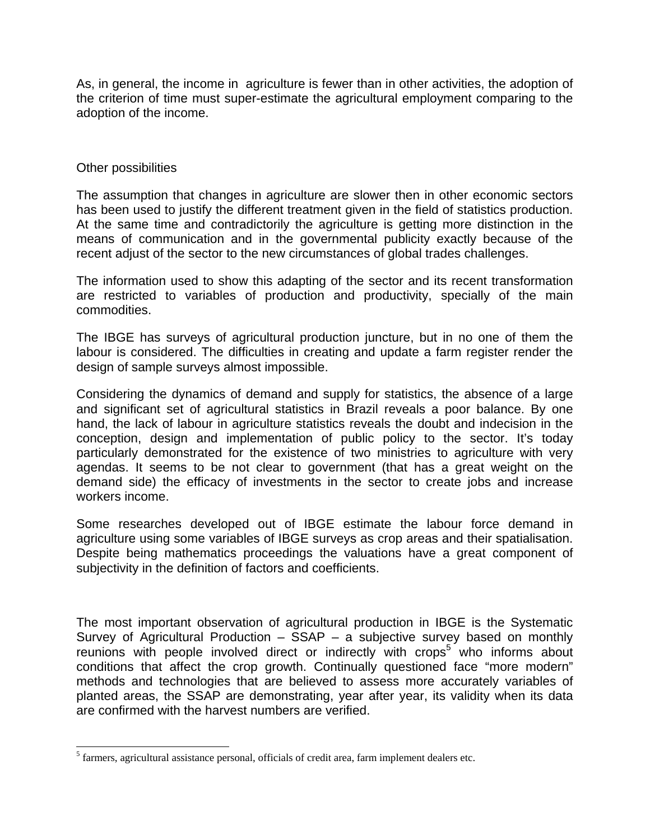As, in general, the income in agriculture is fewer than in other activities, the adoption of the criterion of time must super-estimate the agricultural employment comparing to the adoption of the income.

## Other possibilities

 $\overline{a}$ 

The assumption that changes in agriculture are slower then in other economic sectors has been used to justify the different treatment given in the field of statistics production. At the same time and contradictorily the agriculture is getting more distinction in the means of communication and in the governmental publicity exactly because of the recent adjust of the sector to the new circumstances of global trades challenges.

The information used to show this adapting of the sector and its recent transformation are restricted to variables of production and productivity, specially of the main commodities.

The IBGE has surveys of agricultural production juncture, but in no one of them the labour is considered. The difficulties in creating and update a farm register render the design of sample surveys almost impossible.

Considering the dynamics of demand and supply for statistics, the absence of a large and significant set of agricultural statistics in Brazil reveals a poor balance. By one hand, the lack of labour in agriculture statistics reveals the doubt and indecision in the conception, design and implementation of public policy to the sector. It's today particularly demonstrated for the existence of two ministries to agriculture with very agendas. It seems to be not clear to government (that has a great weight on the demand side) the efficacy of investments in the sector to create jobs and increase workers income.

Some researches developed out of IBGE estimate the labour force demand in agriculture using some variables of IBGE surveys as crop areas and their spatialisation. Despite being mathematics proceedings the valuations have a great component of subjectivity in the definition of factors and coefficients.

The most important observation of agricultural production in IBGE is the Systematic Survey of Agricultural Production  $-$  SSAP  $-$  a subjective survey based on monthly reunions with people involved direct or indirectly with crops<sup>5</sup> who informs about conditions that affect the crop growth. Continually questioned face "more modern" methods and technologies that are believed to assess more accurately variables of planted areas, the SSAP are demonstrating, year after year, its validity when its data are confirmed with the harvest numbers are verified.

 $<sup>5</sup>$  farmers, agricultural assistance personal, officials of credit area, farm implement dealers etc.</sup>